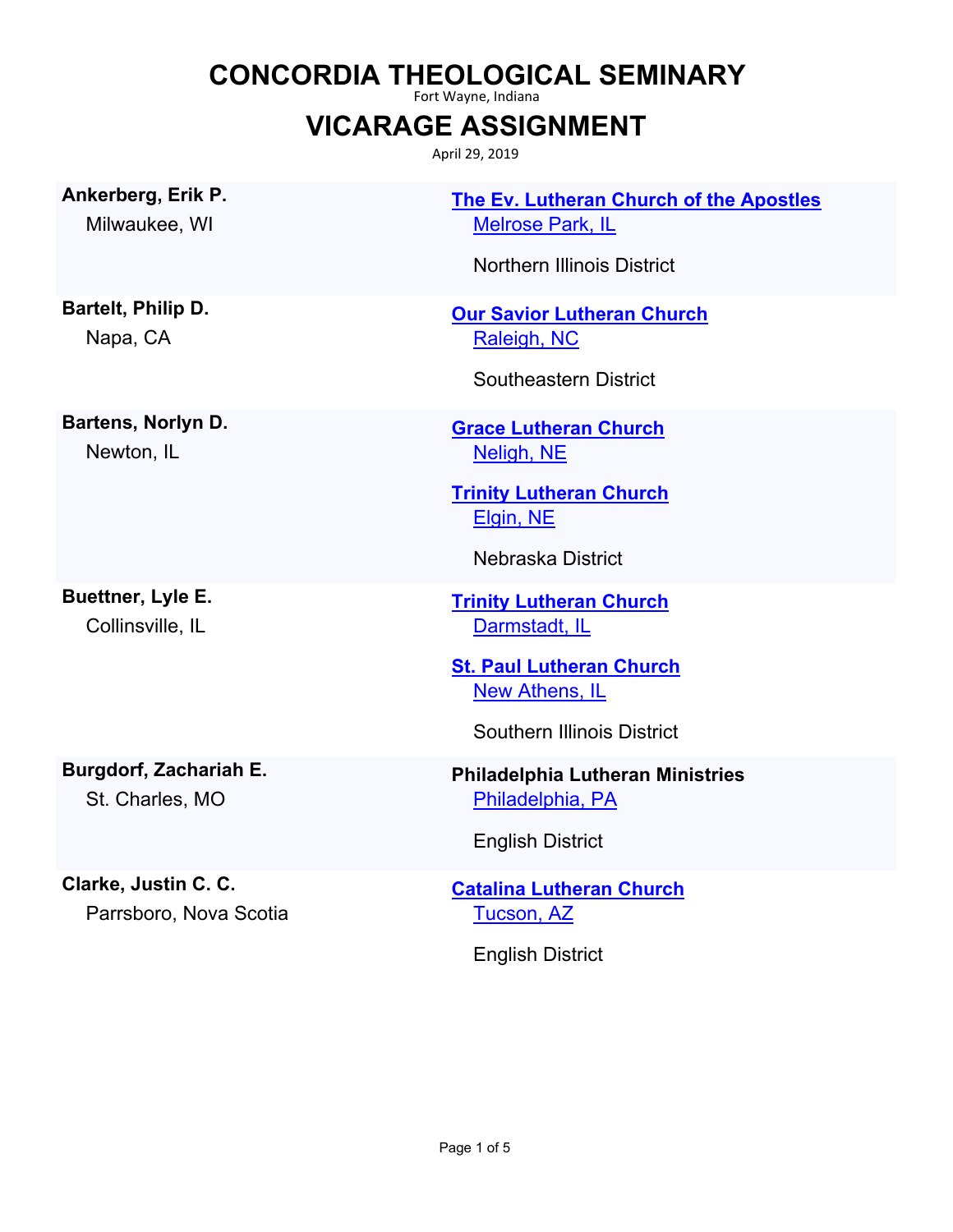## **CONCORDIA THEOLOGICAL SEMINARY**

Fort Wayne, Indiana

## **VICARAGE ASSIGNMENT**

April 29, 2019

**Ankerberg, Erik P.** Milwaukee, WI

**Bartelt, Philip D.** Napa, CA

**Bartens, Norlyn D.** Newton, IL

**Buettner, Lyle E.** Collinsville, IL

**Burgdorf, Zachariah E.** St. Charles, MO

**Clarke, Justin C. C.**

Parrsboro, Nova Scotia

**[The Ev. Lutheran Church of the Apostles](http://locator.lcms.org/nchurches_frm/c_detail.asp?C569427)** [Melrose Park, IL](http://maps.google.com/?q=41.9218653,-87.8851225&t=h)

Northern Illinois District

**[Our Savior Lutheran Church](http://locator.lcms.org/nchurches_frm/c_detail.asp?C751966)** [Raleigh, NC](http://maps.google.com/?q=35.7995213,-78.6453514&t=h)

Southeastern District

**[Grace Lutheran Church](http://locator.lcms.org/nchurches_frm/c_detail.asp?C628271)** [Neligh, NE](http://maps.google.com/?q=42.1296863,-98.0272235&t=h)

**[Trinity Lutheran Church](http://locator.lcms.org/nchurches_frm/c_detail.asp?C282354)** [Elgin, NE](http://maps.google.com/?q=41.9833412,-98.0836773&t=h)

Nebraska District

**[Trinity Lutheran Church](http://locator.lcms.org/nchurches_frm/c_detail.asp?C223756)** [Darmstadt, IL](http://maps.google.com/?q=38.31834,-89.871145&t=h)

**[St. Paul Lutheran Church](http://locator.lcms.org/nchurches_frm/c_detail.asp?C629987) [New Athens, IL](http://maps.google.com/?q=38.31834,-89.871145&t=h)** 

Southern Illinois District

## **Philadelphia Lutheran Ministries** [Philadelphia, PA](http://maps.google.com/?q=39.967933,-75.347048&t=h)

English District

**[Catalina Lutheran Church](http://locator.lcms.org/nchurches_frm/c_detail.asp?C914307)** [Tucson, AZ](http://maps.google.com/?q=32.493132,-110.916106&t=h)

English District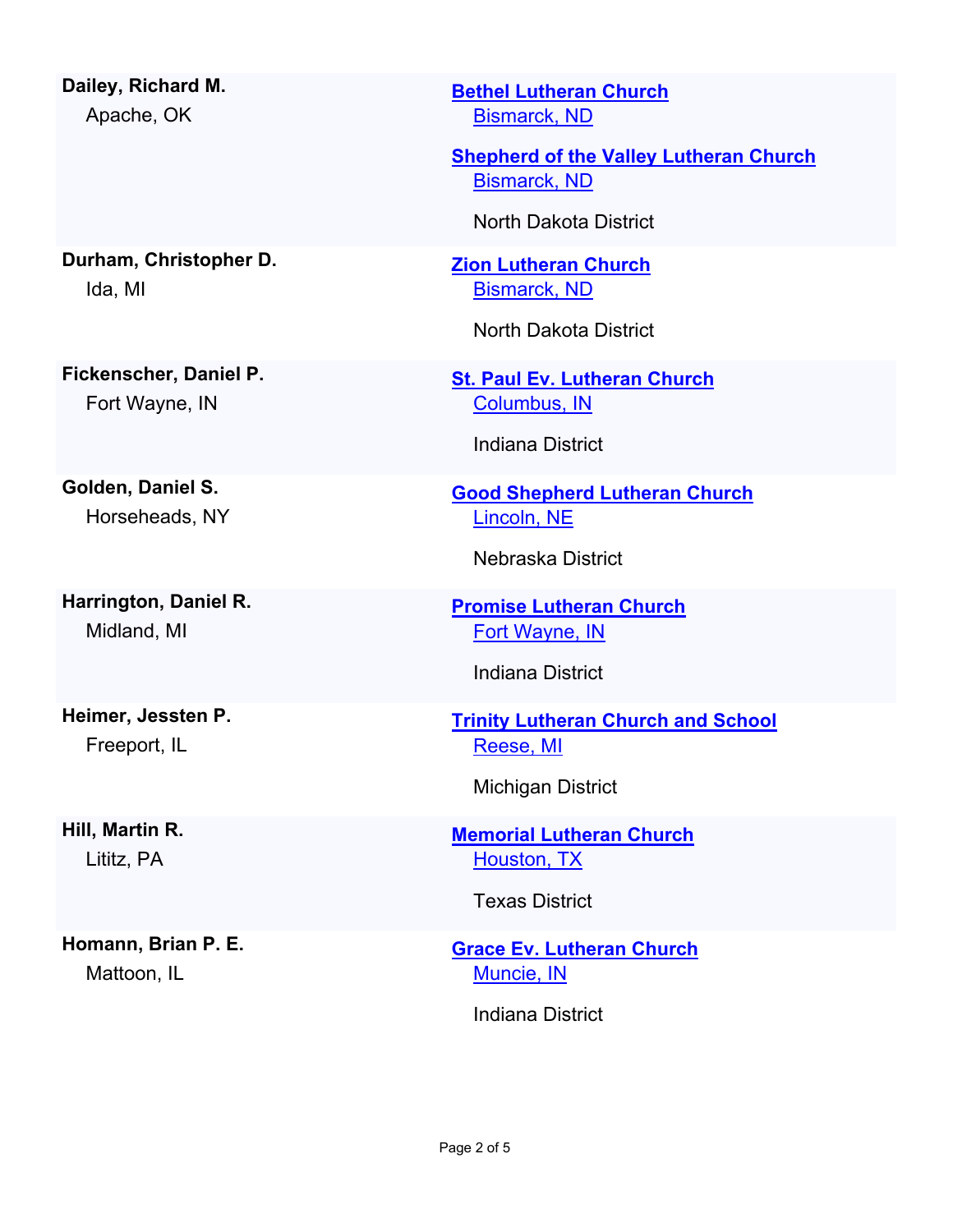| Dailey, Richard M.<br>Apache, OK         |
|------------------------------------------|
| Durham, Christopher D.<br>Ida, MI        |
| Fickenscher, Daniel P.<br>Fort Wayne, IN |
| Golden, Daniel S.                        |
| Horseheads, NY                           |
| Harrington, Daniel R.                    |
| Midland, MI                              |
| Heimer, Jessten P.                       |
| Freeport, IL                             |
| Hill, Martin R.                          |
|                                          |

Lititz, PA

**Homann, Brian P. E.** Mattoon, IL

**[Bethel Lutheran Church](http://locator.lcms.org/nchurches_frm/c_detail.asp?C83444)** [Bismarck, ND](http://maps.google.com/?q=46.830015,-100.782658&t=h)

**[Shepherd of the Valley Lutheran Church](http://locator.lcms.org/nchurches_frm/c_detail.asp?C83514)** [Bismarck, ND](http://maps.google.com/?q=46.7915552,-100.7806981&t=h)

North Dakota District

**[Zion Lutheran Church](http://locator.lcms.org/nchurches_frm/c_detail.asp?C83584)** [Bismarck, ND](http://maps.google.com/?q=46.8123365,-100.7852379&t=h)

North Dakota District

**[St. Paul Ev. Lutheran Church](http://locator.lcms.org/nchurches_frm/c_detail.asp?C195553)** [Columbus, IN](http://maps.google.com/?q=39.1750559,-85.8567738&t=h)

Indiana District

**[Good Shepherd Lutheran Church](http://locator.lcms.org/nchurches_frm/c_detail.asp?C513227)** [Lincoln, NE](http://maps.google.com/?q=40.7578506,-96.664158&t=h)

Nebraska District

**[Promise Lutheran Church](http://locator.lcms.org/nchurches_frm/c_detail.asp?C791)** [Fort Wayne, IN](http://maps.google.com/?q=41.150082,-85.010411&t=h)

Indiana District

**[Trinity Lutheran Church and School](http://locator.lcms.org/nchurches_frm/c_detail.asp?C759402)** [Reese, MI](http://maps.google.com/?q=43.4515227,-83.6929026&t=h)

Michigan District

**[Memorial Lutheran Church](http://locator.lcms.org/nchurches_frm/c_detail.asp?C430645)** [Houston, TX](http://maps.google.com/?q=29.7389878,-95.4799261&t=h)

Texas District

**[Grace Ev. Lutheran Church](http://locator.lcms.org/nchurches_frm/c_detail.asp?C618690)** [Muncie, IN](http://maps.google.com/?q=40.1991143,-85.393926&t=h)

Indiana District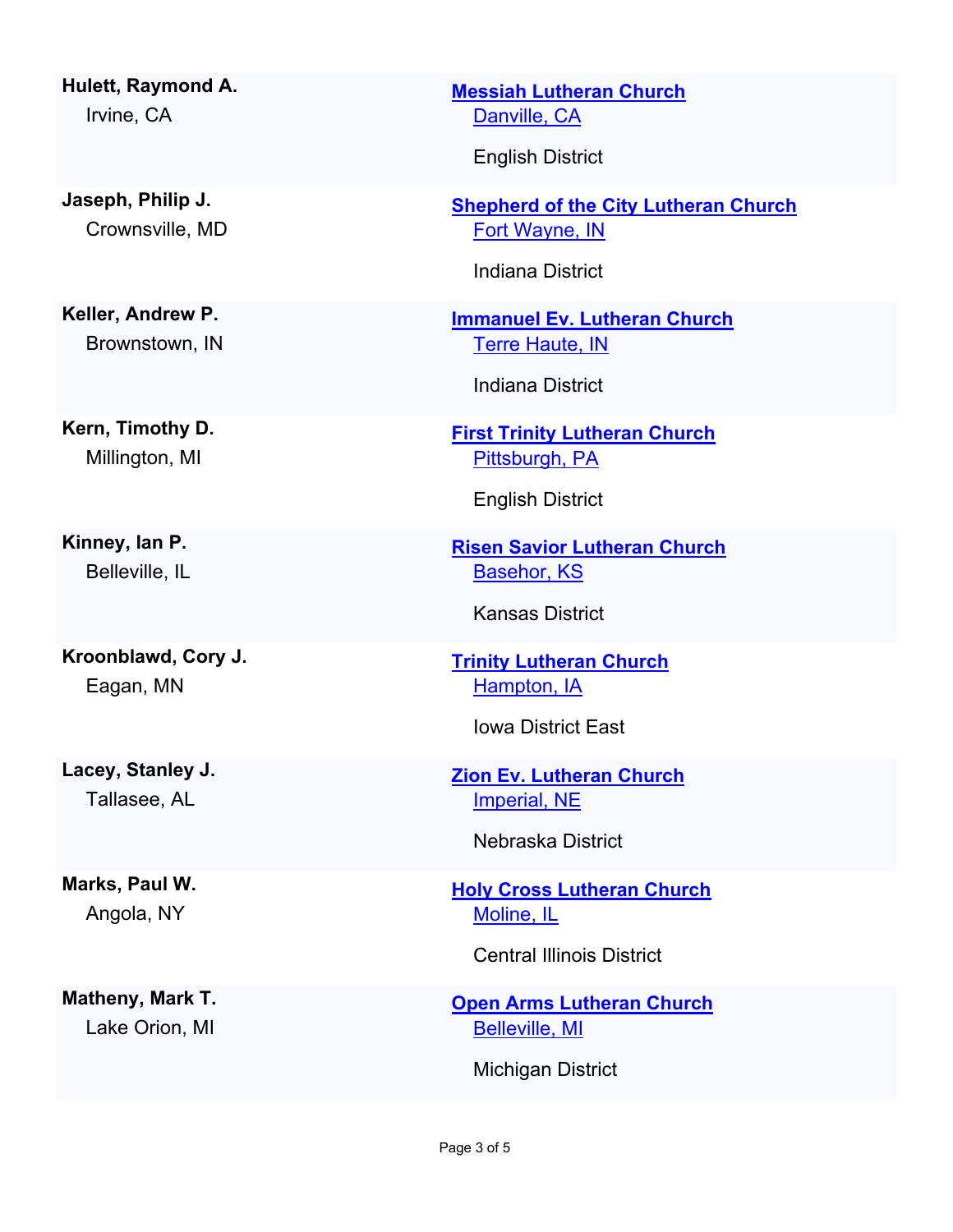**Hulett, Raymond A.** Irvine, CA

**Jaseph, Philip J.** Crownsville, MD

**Keller, Andrew P.** Brownstown, IN

**Kern, Timothy D.** Millington, MI

**Kinney, Ian P.** Belleville, IL

**Kroonblawd, Cory J.** Eagan, MN

**Lacey, Stanley J.** Tallasee, AL

**Marks, Paul W.** Angola, NY

**Matheny, Mark T.** Lake Orion, MI

**[Messiah Lutheran Church](http://locator.lcms.org/nchurches_frm/c_detail.asp?C222937)** [Danville, CA](http://maps.google.com/?q=37.8096812,-121.9522896&t=h)

English District

**[Shepherd of the City Lutheran Church](http://locator.lcms.org/nchurches_frm/c_detail.asp?C330617)** [Fort Wayne, IN](http://maps.google.com/?q=41.073769,-85.113739&t=h)

Indiana District

**[Immanuel Ev. Lutheran Church](http://locator.lcms.org/nchurches_frm/c_detail.asp?C894966)** [Terre Haute, IN](http://maps.google.com/?q=39.4633054,-87.4083953&t=h)

Indiana District

**[First Trinity Lutheran Church](http://locator.lcms.org/nchurches_frm/c_detail.asp?C719934)** [Pittsburgh, PA](http://maps.google.com/?q=40.4498011,-79.9479108&t=h)

English District

**[Risen Savior Lutheran Church](http://locator.lcms.org/nchurches_frm/c_detail.asp?C58738)** [Basehor, KS](http://maps.google.com/?q=39.1432172,-94.9198014&t=h)

Kansas District

**[Trinity Lutheran Church](http://locator.lcms.org/nchurches_frm/c_detail.asp?C392178)** [Hampton, IA](http://maps.google.com/?q=42.7532319,-93.206433&t=h)

Iowa District East

**[Zion Ev. Lutheran Church](http://locator.lcms.org/nchurches_frm/c_detail.asp?C441227)** [Imperial, NE](http://maps.google.com/?q=40.5245654,-101.6431803&t=h)

Nebraska District

**[Holy Cross Lutheran Church](http://locator.lcms.org/nchurches_frm/c_detail.asp?C601387)** [Moline, IL](http://maps.google.com/?q=41.492876,-90.4788669&t=h)

Central Illinois District

**[Open Arms Lutheran Church](http://locator.lcms.org/nchurches_frm/c_detail.asp?C1000457)** [Belleville, MI](http://maps.google.com/?q=42.2452204,-83.4842848&t=h)

Michigan District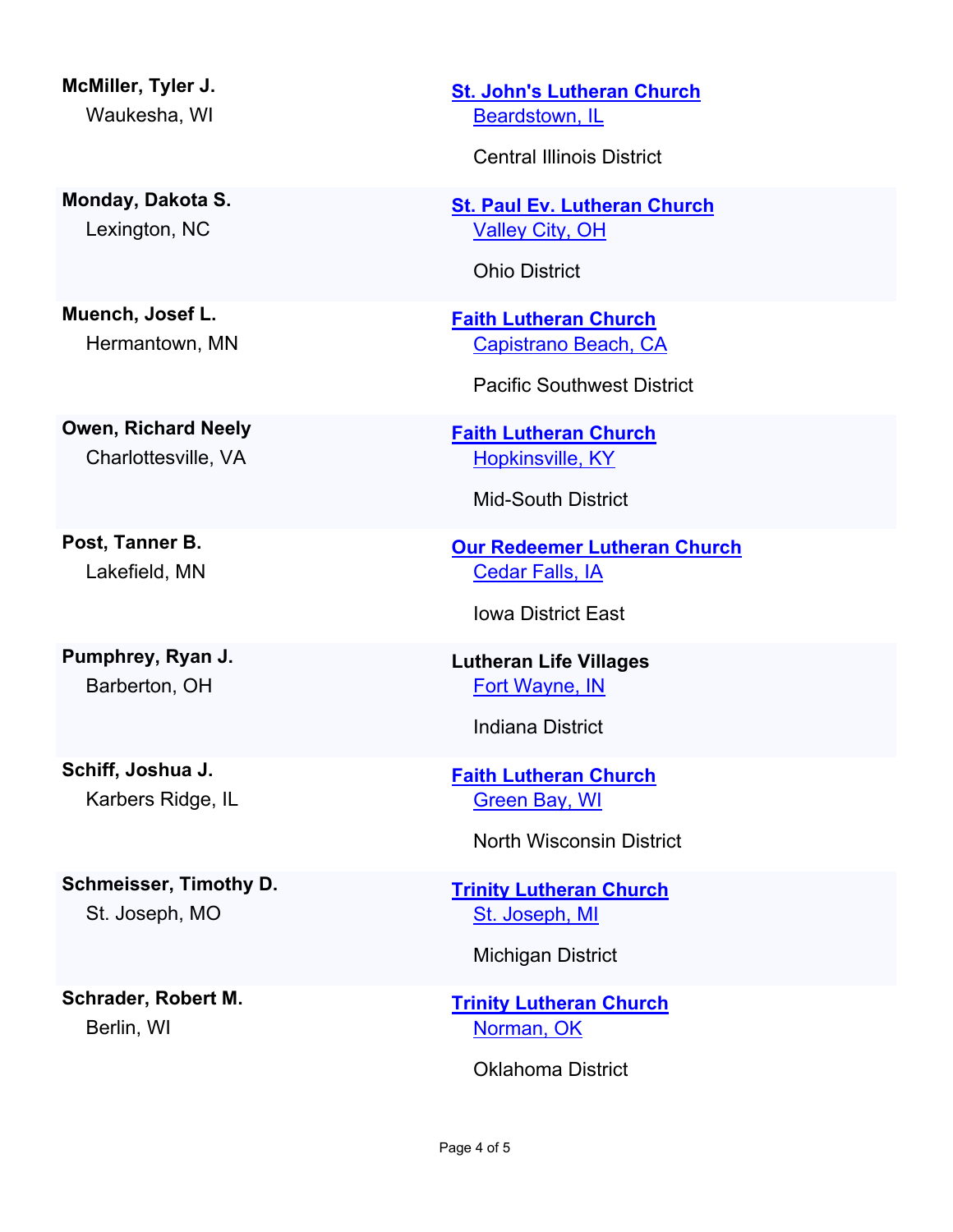**McMiller, Tyler J.** Waukesha, WI

**Monday, Dakota S.** Lexington, NC

**Muench, Josef L.** Hermantown, MN

**Owen, Richard Neely** Charlottesville, VA

**Post, Tanner B.** Lakefield, MN

**Pumphrey, Ryan J.** Barberton, OH

**Schiff, Joshua J.** Karbers Ridge, IL

**Schmeisser, Timothy D.** St. Joseph, MO

**Schrader, Robert M.** Berlin, WI

**[St. John's Lutheran Church](http://locator.lcms.org/nchurches_frm/c_detail.asp?C65852)** [Beardstown, IL](http://maps.google.com/?q=40.01488,-90.4309547&t=h)

Central Illinois District

**[St. Paul Ev. Lutheran Church](http://locator.lcms.org/nchurches_frm/c_detail.asp?C925282)** [Valley City, OH](http://maps.google.com/?q=41.2376644,-81.9312715&t=h)

Ohio District

**[Faith Lutheran Church](http://locator.lcms.org/nchurches_frm/c_detail.asp?C133797)** [Capistrano Beach, CA](http://maps.google.com/?q=33.4634216,-117.6622354&t=h)

Pacific Southwest District

**[Faith Lutheran Church](http://locator.lcms.org/nchurches_frm/c_detail.asp?C427785)** [Hopkinsville, KY](http://maps.google.com/?q=36.8509342,-87.519856&t=h)

Mid-South District

**[Our Redeemer Lutheran Church](http://locator.lcms.org/nchurches_frm/c_detail.asp?C140927)** [Cedar Falls, IA](http://maps.google.com/?q=42.530202,-92.442558&t=h)

Iowa District East

**Lutheran Life Villages** [Fort Wayne, IN](http://maps.google.com/?q=41.1705002,-85.1297788&t=h)

Indiana District

**[Faith Lutheran Church](http://locator.lcms.org/nchurches_frm/c_detail.asp?C376305)** [Green Bay, WI](http://maps.google.com/?q=44.4792349,-88.0248676&t=h)

North Wisconsin District

**[Trinity Lutheran Church](http://locator.lcms.org/nchurches_frm/c_detail.asp?C796082)** [St. Joseph, MI](http://maps.google.com/?q=42.1058155,-86.4816352&t=h)

Michigan District

**[Trinity Lutheran Church](http://locator.lcms.org/nchurches_frm/c_detail.asp?C648863)** [Norman, OK](http://maps.google.com/?q=35.2179096,-97.4358203&t=h)

Oklahoma District